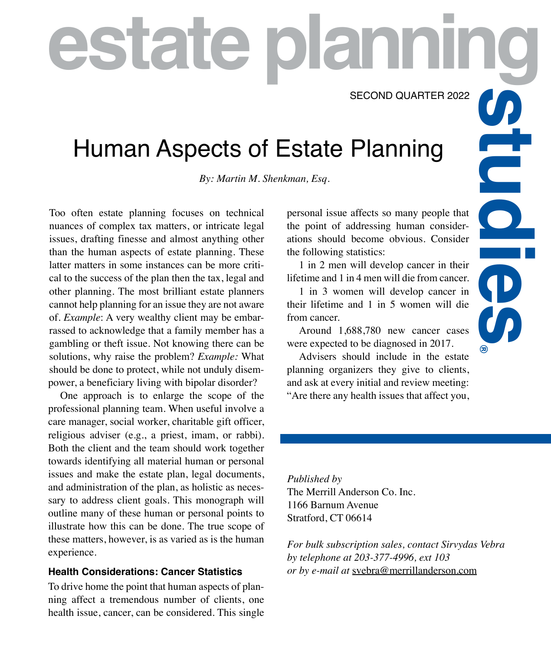SECOND QUARTER 2022

**g**

**®**

# Human Aspects of Estate Planning **escond Quarter 2022**<br>
Human Aspects of Estate Planning<br>
By: Martin M. Shenkman, Esq.<br>
Too often estate planning focuses on technical<br>
personal issue affects so many people that<br>
mances of complex tax matters, or intricate

*By: Martin M. Shenkman, Esq.*

Too often estate planning focuses on technical nuances of complex tax matters, or intricate legal issues, drafting finesse and almost anything other than the human aspects of estate planning. These latter matters in some instances can be more critical to the success of the plan then the tax, legal and other planning. The most brilliant estate planners cannot help planning for an issue they are not aware of. *Example*: A very wealthy client may be embarrassed to acknowledge that a family member has a gambling or theft issue. Not knowing there can be solutions, why raise the problem? *Example:* What should be done to protect, while not unduly disempower, a beneficiary living with bipolar disorder?

One approach is to enlarge the scope of the professional planning team. When useful involve a care manager, social worker, charitable gift officer, religious adviser (e.g., a priest, imam, or rabbi). Both the client and the team should work together towards identifying all material human or personal issues and make the estate plan, legal documents, and administration of the plan, as holistic as necessary to address client goals. This monograph will outline many of these human or personal points to illustrate how this can be done. The true scope of these matters, however, is as varied as is the human experience.

## **Health Considerations: Cancer Statistics**

To drive home the point that human aspects of planning affect a tremendous number of clients, one health issue, cancer, can be considered. This single personal issue affects so many people that the point of addressing human considerations should become obvious. Consider the following statistics:

1 in 2 men will develop cancer in their lifetime and 1 in 4 men will die from cancer.

1 in 3 women will develop cancer in their lifetime and 1 in 5 women will die from cancer.

Around 1,688,780 new cancer cases were expected to be diagnosed in 2017.

Advisers should include in the estate planning organizers they give to clients, and ask at every initial and review meeting: "Are there any health issues that affect you,

*Published by*  The Merrill Anderson Co. Inc. 1166 Barnum Avenue Stratford, CT 06614

*For bulk subscription sales, contact Sirvydas Vebra by telephone at 203-377-4996, ext 103 or by e-mail at* svebra@merrillanderson.com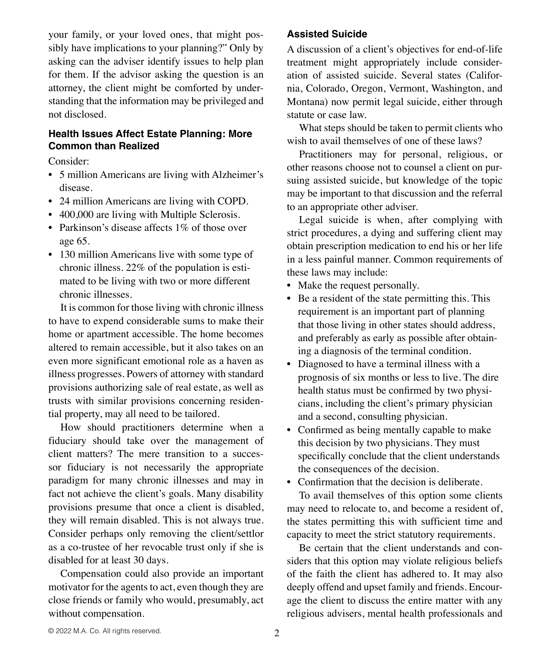your family, or your loved ones, that might possibly have implications to your planning?" Only by asking can the adviser identify issues to help plan for them. If the advisor asking the question is an attorney, the client might be comforted by understanding that the information may be privileged and not disclosed.

# **Health Issues Affect Estate Planning: More Common than Realized**

Consider:

- 5 million Americans are living with Alzheimer's disease.
- 24 million Americans are living with COPD.
- 400,000 are living with Multiple Sclerosis.
- Parkinson's disease affects 1\% of those over age 65.
- 130 million Americans live with some type of chronic illness. 22% of the population is estimated to be living with two or more different chronic illnesses.

It is common for those living with chronic illness to have to expend considerable sums to make their home or apartment accessible. The home becomes altered to remain accessible, but it also takes on an even more significant emotional role as a haven as illness progresses. Powers of attorney with standard provisions authorizing sale of real estate, as well as trusts with similar provisions concerning residential property, may all need to be tailored.

How should practitioners determine when a fiduciary should take over the management of client matters? The mere transition to a successor fiduciary is not necessarily the appropriate paradigm for many chronic illnesses and may in fact not achieve the client's goals. Many disability provisions presume that once a client is disabled, they will remain disabled. This is not always true. Consider perhaps only removing the client/settlor as a co-trustee of her revocable trust only if she is disabled for at least 30 days.

Compensation could also provide an important motivator for the agents to act, even though they are close friends or family who would, presumably, act without compensation.

# **Assisted Suicide**

A discussion of a client's objectives for end-of-life treatment might appropriately include consideration of assisted suicide. Several states (California, Colorado, Oregon, Vermont, Washington, and Montana) now permit legal suicide, either through statute or case law.

What steps should be taken to permit clients who wish to avail themselves of one of these laws?

Practitioners may for personal, religious, or other reasons choose not to counsel a client on pursuing assisted suicide, but knowledge of the topic may be important to that discussion and the referral to an appropriate other adviser.

Legal suicide is when, after complying with strict procedures, a dying and suffering client may obtain prescription medication to end his or her life in a less painful manner. Common requirements of these laws may include:

- Make the request personally.
- Be a resident of the state permitting this. This requirement is an important part of planning that those living in other states should address, and preferably as early as possible after obtaining a diagnosis of the terminal condition.
- Diagnosed to have a terminal illness with a prognosis of six months or less to live. The dire health status must be confirmed by two physicians, including the client's primary physician and a second, consulting physician.
- Confirmed as being mentally capable to make this decision by two physicians. They must specifically conclude that the client understands the consequences of the decision.
- Confirmation that the decision is deliberate.

To avail themselves of this option some clients may need to relocate to, and become a resident of, the states permitting this with sufficient time and capacity to meet the strict statutory requirements.

Be certain that the client understands and considers that this option may violate religious beliefs of the faith the client has adhered to. It may also deeply offend and upset family and friends. Encourage the client to discuss the entire matter with any religious advisers, mental health professionals and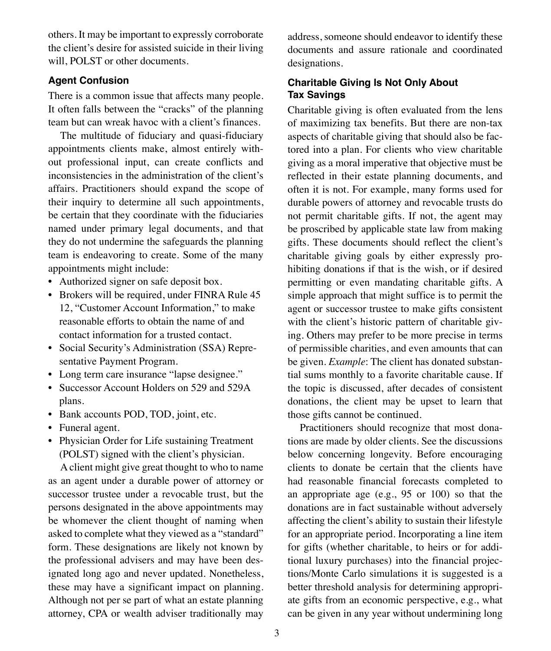others. It may be important to expressly corroborate the client's desire for assisted suicide in their living will, POLST or other documents.

#### **Agent Confusion**

There is a common issue that affects many people. It often falls between the "cracks" of the planning team but can wreak havoc with a client's finances.

The multitude of fiduciary and quasi-fiduciary appointments clients make, almost entirely without professional input, can create conflicts and inconsistencies in the administration of the client's affairs. Practitioners should expand the scope of their inquiry to determine all such appointments, be certain that they coordinate with the fiduciaries named under primary legal documents, and that they do not undermine the safeguards the planning team is endeavoring to create. Some of the many appointments might include:

- Authorized signer on safe deposit box.
- Brokers will be required, under FINRA Rule 45 12, "Customer Account Information," to make reasonable efforts to obtain the name of and contact information for a trusted contact.
- Social Security's Administration (SSA) Representative Payment Program.
- Long term care insurance "lapse designee."
- Successor Account Holders on 529 and 529A plans.
- Bank accounts POD, TOD, joint, etc.
- Funeral agent.
- Physician Order for Life sustaining Treatment (POLST) signed with the client's physician.

A client might give great thought to who to name as an agent under a durable power of attorney or successor trustee under a revocable trust, but the persons designated in the above appointments may be whomever the client thought of naming when asked to complete what they viewed as a "standard" form. These designations are likely not known by the professional advisers and may have been designated long ago and never updated. Nonetheless, these may have a significant impact on planning. Although not per se part of what an estate planning attorney, CPA or wealth adviser traditionally may address, someone should endeavor to identify these documents and assure rationale and coordinated designations.

# **Charitable Giving Is Not Only About Tax Savings**

Charitable giving is often evaluated from the lens of maximizing tax benefits. But there are non-tax aspects of charitable giving that should also be factored into a plan. For clients who view charitable giving as a moral imperative that objective must be reflected in their estate planning documents, and often it is not. For example, many forms used for durable powers of attorney and revocable trusts do not permit charitable gifts. If not, the agent may be proscribed by applicable state law from making gifts. These documents should reflect the client's charitable giving goals by either expressly prohibiting donations if that is the wish, or if desired permitting or even mandating charitable gifts. A simple approach that might suffice is to permit the agent or successor trustee to make gifts consistent with the client's historic pattern of charitable giving. Others may prefer to be more precise in terms of permissible charities, and even amounts that can be given. *Example*: The client has donated substantial sums monthly to a favorite charitable cause. If the topic is discussed, after decades of consistent donations, the client may be upset to learn that those gifts cannot be continued.

Practitioners should recognize that most donations are made by older clients. See the discussions below concerning longevity. Before encouraging clients to donate be certain that the clients have had reasonable financial forecasts completed to an appropriate age (e.g., 95 or 100) so that the donations are in fact sustainable without adversely affecting the client's ability to sustain their lifestyle for an appropriate period. Incorporating a line item for gifts (whether charitable, to heirs or for additional luxury purchases) into the financial projections/Monte Carlo simulations it is suggested is a better threshold analysis for determining appropriate gifts from an economic perspective, e.g., what can be given in any year without undermining long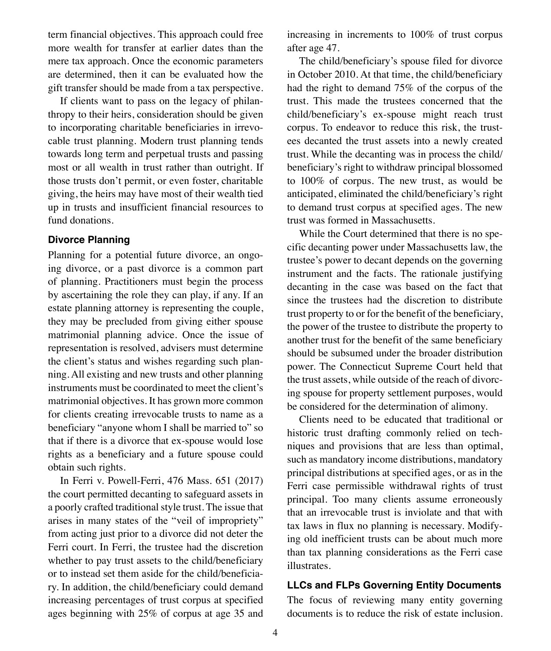term financial objectives. This approach could free more wealth for transfer at earlier dates than the mere tax approach. Once the economic parameters are determined, then it can be evaluated how the gift transfer should be made from a tax perspective.

If clients want to pass on the legacy of philanthropy to their heirs, consideration should be given to incorporating charitable beneficiaries in irrevocable trust planning. Modern trust planning tends towards long term and perpetual trusts and passing most or all wealth in trust rather than outright. If those trusts don't permit, or even foster, charitable giving, the heirs may have most of their wealth tied up in trusts and insufficient financial resources to fund donations.

## **Divorce Planning**

Planning for a potential future divorce, an ongoing divorce, or a past divorce is a common part of planning. Practitioners must begin the process by ascertaining the role they can play, if any. If an estate planning attorney is representing the couple, they may be precluded from giving either spouse matrimonial planning advice. Once the issue of representation is resolved, advisers must determine the client's status and wishes regarding such planning. All existing and new trusts and other planning instruments must be coordinated to meet the client's matrimonial objectives. It has grown more common for clients creating irrevocable trusts to name as a beneficiary "anyone whom I shall be married to" so that if there is a divorce that ex-spouse would lose rights as a beneficiary and a future spouse could obtain such rights.

In Ferri v. Powell-Ferri, 476 Mass. 651 (2017) the court permitted decanting to safeguard assets in a poorly crafted traditional style trust. The issue that arises in many states of the "veil of impropriety" from acting just prior to a divorce did not deter the Ferri court. In Ferri, the trustee had the discretion whether to pay trust assets to the child/beneficiary or to instead set them aside for the child/beneficiary. In addition, the child/beneficiary could demand increasing percentages of trust corpus at specified ages beginning with 25% of corpus at age 35 and

increasing in increments to 100% of trust corpus after age 47.

The child/beneficiary's spouse filed for divorce in October 2010. At that time, the child/beneficiary had the right to demand 75% of the corpus of the trust. This made the trustees concerned that the child/beneficiary's ex-spouse might reach trust corpus. To endeavor to reduce this risk, the trustees decanted the trust assets into a newly created trust. While the decanting was in process the child/ beneficiary's right to withdraw principal blossomed to 100% of corpus. The new trust, as would be anticipated, eliminated the child/beneficiary's right to demand trust corpus at specified ages. The new trust was formed in Massachusetts.

While the Court determined that there is no specific decanting power under Massachusetts law, the trustee's power to decant depends on the governing instrument and the facts. The rationale justifying decanting in the case was based on the fact that since the trustees had the discretion to distribute trust property to or for the benefit of the beneficiary, the power of the trustee to distribute the property to another trust for the benefit of the same beneficiary should be subsumed under the broader distribution power. The Connecticut Supreme Court held that the trust assets, while outside of the reach of divorcing spouse for property settlement purposes, would be considered for the determination of alimony.

Clients need to be educated that traditional or historic trust drafting commonly relied on techniques and provisions that are less than optimal, such as mandatory income distributions, mandatory principal distributions at specified ages, or as in the Ferri case permissible withdrawal rights of trust principal. Too many clients assume erroneously that an irrevocable trust is inviolate and that with tax laws in flux no planning is necessary. Modifying old inefficient trusts can be about much more than tax planning considerations as the Ferri case illustrates.

## **LLCs and FLPs Governing Entity Documents**

The focus of reviewing many entity governing documents is to reduce the risk of estate inclusion.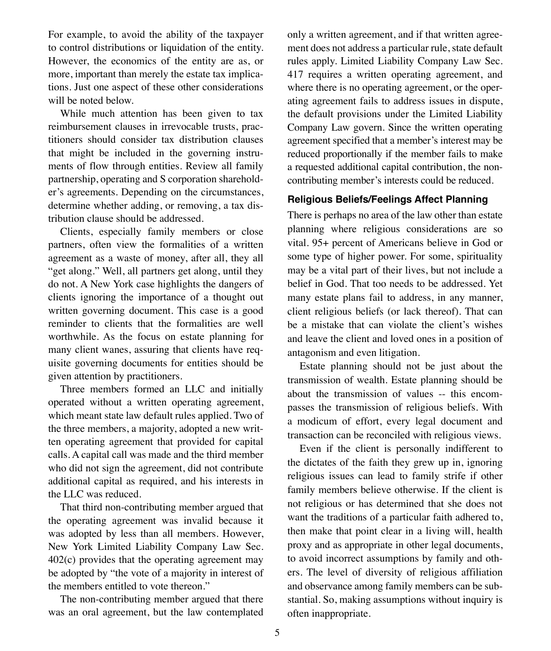For example, to avoid the ability of the taxpayer to control distributions or liquidation of the entity. However, the economics of the entity are as, or more, important than merely the estate tax implications. Just one aspect of these other considerations will be noted below.

While much attention has been given to tax reimbursement clauses in irrevocable trusts, practitioners should consider tax distribution clauses that might be included in the governing instruments of flow through entities. Review all family partnership, operating and S corporation shareholder's agreements. Depending on the circumstances, determine whether adding, or removing, a tax distribution clause should be addressed.

Clients, especially family members or close partners, often view the formalities of a written agreement as a waste of money, after all, they all "get along." Well, all partners get along, until they do not. A New York case highlights the dangers of clients ignoring the importance of a thought out written governing document. This case is a good reminder to clients that the formalities are well worthwhile. As the focus on estate planning for many client wanes, assuring that clients have requisite governing documents for entities should be given attention by practitioners.

Three members formed an LLC and initially operated without a written operating agreement, which meant state law default rules applied. Two of the three members, a majority, adopted a new written operating agreement that provided for capital calls. A capital call was made and the third member who did not sign the agreement, did not contribute additional capital as required, and his interests in the LLC was reduced.

That third non-contributing member argued that the operating agreement was invalid because it was adopted by less than all members. However, New York Limited Liability Company Law Sec. 402(c) provides that the operating agreement may be adopted by "the vote of a majority in interest of the members entitled to vote thereon."

The non-contributing member argued that there was an oral agreement, but the law contemplated

only a written agreement, and if that written agreement does not address a particular rule, state default rules apply. Limited Liability Company Law Sec. 417 requires a written operating agreement, and where there is no operating agreement, or the operating agreement fails to address issues in dispute, the default provisions under the Limited Liability Company Law govern. Since the written operating agreement specified that a member's interest may be reduced proportionally if the member fails to make a requested additional capital contribution, the noncontributing member's interests could be reduced.

#### **Religious Beliefs/Feelings Affect Planning**

There is perhaps no area of the law other than estate planning where religious considerations are so vital. 95+ percent of Americans believe in God or some type of higher power. For some, spirituality may be a vital part of their lives, but not include a belief in God. That too needs to be addressed. Yet many estate plans fail to address, in any manner, client religious beliefs (or lack thereof). That can be a mistake that can violate the client's wishes and leave the client and loved ones in a position of antagonism and even litigation.

Estate planning should not be just about the transmission of wealth. Estate planning should be about the transmission of values -- this encompasses the transmission of religious beliefs. With a modicum of effort, every legal document and transaction can be reconciled with religious views.

Even if the client is personally indifferent to the dictates of the faith they grew up in, ignoring religious issues can lead to family strife if other family members believe otherwise. If the client is not religious or has determined that she does not want the traditions of a particular faith adhered to, then make that point clear in a living will, health proxy and as appropriate in other legal documents, to avoid incorrect assumptions by family and others. The level of diversity of religious affiliation and observance among family members can be substantial. So, making assumptions without inquiry is often inappropriate.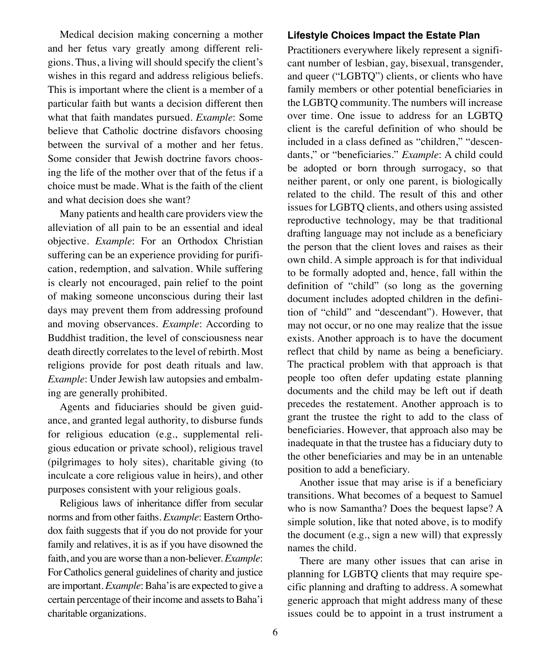Medical decision making concerning a mother and her fetus vary greatly among different religions. Thus, a living will should specify the client's wishes in this regard and address religious beliefs. This is important where the client is a member of a particular faith but wants a decision different then what that faith mandates pursued. *Example*: Some believe that Catholic doctrine disfavors choosing between the survival of a mother and her fetus. Some consider that Jewish doctrine favors choosing the life of the mother over that of the fetus if a choice must be made. What is the faith of the client and what decision does she want?

Many patients and health care providers view the alleviation of all pain to be an essential and ideal objective. *Example*: For an Orthodox Christian suffering can be an experience providing for purification, redemption, and salvation. While suffering is clearly not encouraged, pain relief to the point of making someone unconscious during their last days may prevent them from addressing profound and moving observances. *Example*: According to Buddhist tradition, the level of consciousness near death directly correlates to the level of rebirth. Most religions provide for post death rituals and law. *Example*: Under Jewish law autopsies and embalming are generally prohibited.

Agents and fiduciaries should be given guidance, and granted legal authority, to disburse funds for religious education (e.g., supplemental religious education or private school), religious travel (pilgrimages to holy sites), charitable giving (to inculcate a core religious value in heirs), and other purposes consistent with your religious goals.

Religious laws of inheritance differ from secular norms and from other faiths. *Example*: Eastern Orthodox faith suggests that if you do not provide for your family and relatives, it is as if you have disowned the faith, and you are worse than a non-believer. *Example*: For Catholics general guidelines of charity and justice are important. *Example*: Baha'is are expected to give a certain percentage of their income and assets to Baha'i charitable organizations.

#### **Lifestyle Choices Impact the Estate Plan**

Practitioners everywhere likely represent a significant number of lesbian, gay, bisexual, transgender, and queer ("LGBTQ") clients, or clients who have family members or other potential beneficiaries in the LGBTQ community. The numbers will increase over time. One issue to address for an LGBTQ client is the careful definition of who should be included in a class defined as "children," "descendants," or "beneficiaries." *Example*: A child could be adopted or born through surrogacy, so that neither parent, or only one parent, is biologically related to the child. The result of this and other issues for LGBTQ clients, and others using assisted reproductive technology, may be that traditional drafting language may not include as a beneficiary the person that the client loves and raises as their own child. A simple approach is for that individual to be formally adopted and, hence, fall within the definition of "child" (so long as the governing document includes adopted children in the definition of "child" and "descendant"). However, that may not occur, or no one may realize that the issue exists. Another approach is to have the document reflect that child by name as being a beneficiary. The practical problem with that approach is that people too often defer updating estate planning documents and the child may be left out if death precedes the restatement. Another approach is to grant the trustee the right to add to the class of beneficiaries. However, that approach also may be inadequate in that the trustee has a fiduciary duty to the other beneficiaries and may be in an untenable position to add a beneficiary.

Another issue that may arise is if a beneficiary transitions. What becomes of a bequest to Samuel who is now Samantha? Does the bequest lapse? A simple solution, like that noted above, is to modify the document (e.g., sign a new will) that expressly names the child.

There are many other issues that can arise in planning for LGBTQ clients that may require specific planning and drafting to address. A somewhat generic approach that might address many of these issues could be to appoint in a trust instrument a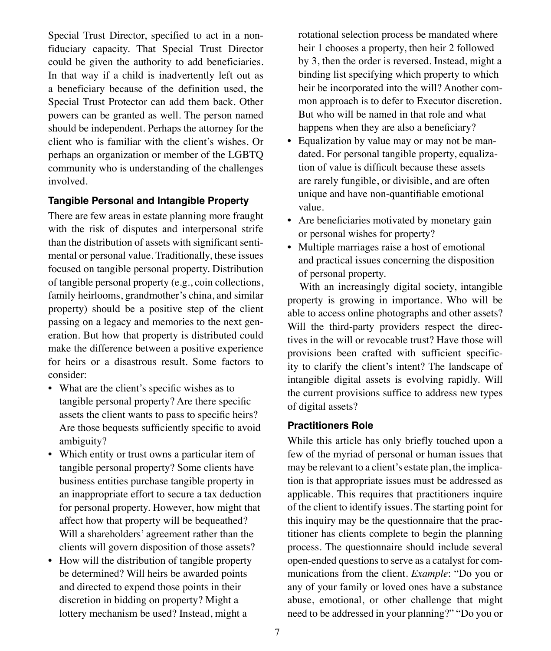Special Trust Director, specified to act in a nonfiduciary capacity. That Special Trust Director could be given the authority to add beneficiaries. In that way if a child is inadvertently left out as a beneficiary because of the definition used, the Special Trust Protector can add them back. Other powers can be granted as well. The person named should be independent. Perhaps the attorney for the client who is familiar with the client's wishes. Or perhaps an organization or member of the LGBTQ community who is understanding of the challenges involved.

## **Tangible Personal and Intangible Property**

There are few areas in estate planning more fraught with the risk of disputes and interpersonal strife than the distribution of assets with significant sentimental or personal value. Traditionally, these issues focused on tangible personal property. Distribution of tangible personal property (e.g., coin collections, family heirlooms, grandmother's china, and similar property) should be a positive step of the client passing on a legacy and memories to the next generation. But how that property is distributed could make the difference between a positive experience for heirs or a disastrous result. Some factors to consider:

- What are the client's specific wishes as to tangible personal property? Are there specific assets the client wants to pass to specific heirs? Are those bequests sufficiently specific to avoid ambiguity?
- Which entity or trust owns a particular item of tangible personal property? Some clients have business entities purchase tangible property in an inappropriate effort to secure a tax deduction for personal property. However, how might that affect how that property will be bequeathed? Will a shareholders' agreement rather than the clients will govern disposition of those assets?
- How will the distribution of tangible property be determined? Will heirs be awarded points and directed to expend those points in their discretion in bidding on property? Might a lottery mechanism be used? Instead, might a

rotational selection process be mandated where heir 1 chooses a property, then heir 2 followed by 3, then the order is reversed. Instead, might a binding list specifying which property to which heir be incorporated into the will? Another common approach is to defer to Executor discretion. But who will be named in that role and what happens when they are also a beneficiary?

- Equalization by value may or may not be mandated. For personal tangible property, equalization of value is difficult because these assets are rarely fungible, or divisible, and are often unique and have non-quantifiable emotional value.
- Are beneficiaries motivated by monetary gain or personal wishes for property?
- Multiple marriages raise a host of emotional and practical issues concerning the disposition of personal property.

With an increasingly digital society, intangible property is growing in importance. Who will be able to access online photographs and other assets? Will the third-party providers respect the directives in the will or revocable trust? Have those will provisions been crafted with sufficient specificity to clarify the client's intent? The landscape of intangible digital assets is evolving rapidly. Will the current provisions suffice to address new types of digital assets?

## **Practitioners Role**

While this article has only briefly touched upon a few of the myriad of personal or human issues that may be relevant to a client's estate plan, the implication is that appropriate issues must be addressed as applicable. This requires that practitioners inquire of the client to identify issues. The starting point for this inquiry may be the questionnaire that the practitioner has clients complete to begin the planning process. The questionnaire should include several open-ended questions to serve as a catalyst for communications from the client. *Example*: "Do you or any of your family or loved ones have a substance abuse, emotional, or other challenge that might need to be addressed in your planning?" "Do you or